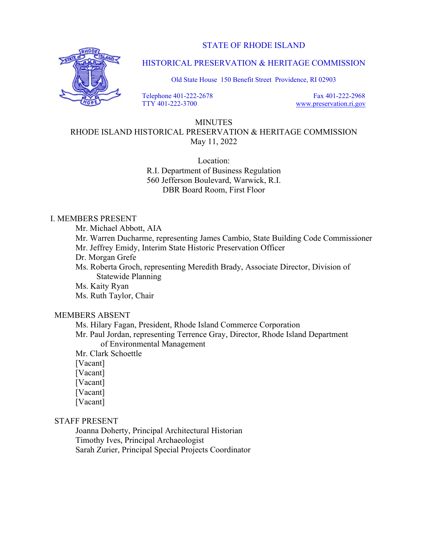STATE OF RHODE ISLAND



HISTORICAL PRESERVATION & HERITAGE COMMISSION

Old State House 150 Benefit Street Providence, RI 02903

 Telephone 401-222-2678 TTY 401-222-3700

 Fax 401-222-2968 www.preservation.ri.gov

# MINUTES

RHODE ISLAND HISTORICAL PRESERVATION & HERITAGE COMMISSION May 11, 2022

> Location: R.I. Department of Business Regulation 560 Jefferson Boulevard, Warwick, R.I. DBR Board Room, First Floor

# I. MEMBERS PRESENT

Mr. Michael Abbott, AIA

 Mr. Warren Ducharme, representing James Cambio, State Building Code Commissioner Mr. Jeffrey Emidy, Interim State Historic Preservation Officer

Dr. Morgan Grefe

 Ms. Roberta Groch, representing Meredith Brady, Associate Director, Division of Statewide Planning

Ms. Kaity Ryan

Ms. Ruth Taylor, Chair

## MEMBERS ABSENT

Ms. Hilary Fagan, President, Rhode Island Commerce Corporation

 Mr. Paul Jordan, representing Terrence Gray, Director, Rhode Island Department of Environmental Management

Mr. Clark Schoettle

[Vacant]

[Vacant]

[Vacant]

[Vacant]

[Vacant]

## STAFF PRESENT

 Joanna Doherty, Principal Architectural Historian Timothy Ives, Principal Archaeologist Sarah Zurier, Principal Special Projects Coordinator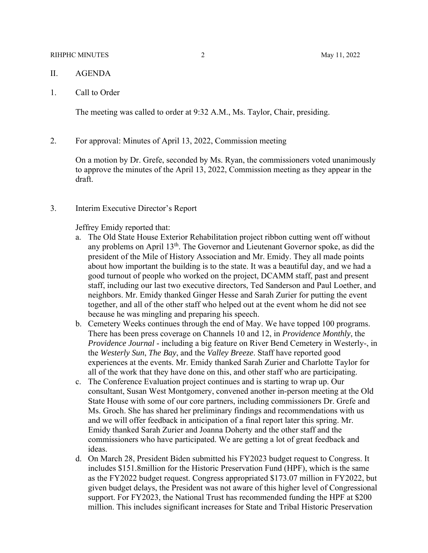#### RIHPHC MINUTES 2 May 11, 2022

- II. AGENDA
- 1. Call to Order

The meeting was called to order at 9:32 A.M., Ms. Taylor, Chair, presiding.

2. For approval: Minutes of April 13, 2022, Commission meeting

On a motion by Dr. Grefe, seconded by Ms. Ryan, the commissioners voted unanimously to approve the minutes of the April 13, 2022, Commission meeting as they appear in the draft.

3. Interim Executive Director's Report

Jeffrey Emidy reported that:

- a. The Old State House Exterior Rehabilitation project ribbon cutting went off without any problems on April 13<sup>th</sup>. The Governor and Lieutenant Governor spoke, as did the president of the Mile of History Association and Mr. Emidy. They all made points about how important the building is to the state. It was a beautiful day, and we had a good turnout of people who worked on the project, DCAMM staff, past and present staff, including our last two executive directors, Ted Sanderson and Paul Loether, and neighbors. Mr. Emidy thanked Ginger Hesse and Sarah Zurier for putting the event together, and all of the other staff who helped out at the event whom he did not see because he was mingling and preparing his speech.
- b. Cemetery Weeks continues through the end of May. We have topped 100 programs. There has been press coverage on Channels 10 and 12, in *Providence Monthly*, the *Providence Journal* - including a big feature on River Bend Cemetery in Westerly-, in the *Westerly Sun*, *The Bay*, and the *Valley Breeze*. Staff have reported good experiences at the events. Mr. Emidy thanked Sarah Zurier and Charlotte Taylor for all of the work that they have done on this, and other staff who are participating.
- c. The Conference Evaluation project continues and is starting to wrap up. Our consultant, Susan West Montgomery, convened another in-person meeting at the Old State House with some of our core partners, including commissioners Dr. Grefe and Ms. Groch. She has shared her preliminary findings and recommendations with us and we will offer feedback in anticipation of a final report later this spring. Mr. Emidy thanked Sarah Zurier and Joanna Doherty and the other staff and the commissioners who have participated. We are getting a lot of great feedback and ideas.
- d. On March 28, President Biden submitted his FY2023 budget request to Congress. It includes \$151.8million for the Historic Preservation Fund (HPF), which is the same as the FY2022 budget request. Congress appropriated \$173.07 million in FY2022, but given budget delays, the President was not aware of this higher level of Congressional support. For FY2023, the National Trust has recommended funding the HPF at \$200 million. This includes significant increases for State and Tribal Historic Preservation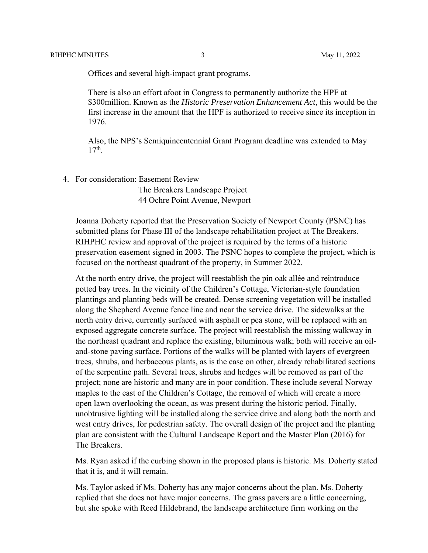Offices and several high-impact grant programs.

There is also an effort afoot in Congress to permanently authorize the HPF at \$300million. Known as the *Historic Preservation Enhancement Act*, this would be the first increase in the amount that the HPF is authorized to receive since its inception in 1976.

Also, the NPS's Semiquincentennial Grant Program deadline was extended to May 17th.

4. For consideration: Easement Review

 The Breakers Landscape Project 44 Ochre Point Avenue, Newport

Joanna Doherty reported that the Preservation Society of Newport County (PSNC) has submitted plans for Phase III of the landscape rehabilitation project at The Breakers. RIHPHC review and approval of the project is required by the terms of a historic preservation easement signed in 2003. The PSNC hopes to complete the project, which is focused on the northeast quadrant of the property, in Summer 2022.

 At the north entry drive, the project will reestablish the pin oak allée and reintroduce potted bay trees. In the vicinity of the Children's Cottage, Victorian-style foundation plantings and planting beds will be created. Dense screening vegetation will be installed along the Shepherd Avenue fence line and near the service drive. The sidewalks at the north entry drive, currently surfaced with asphalt or pea stone, will be replaced with an exposed aggregate concrete surface. The project will reestablish the missing walkway in the northeast quadrant and replace the existing, bituminous walk; both will receive an oiland-stone paving surface. Portions of the walks will be planted with layers of evergreen trees, shrubs, and herbaceous plants, as is the case on other, already rehabilitated sections of the serpentine path. Several trees, shrubs and hedges will be removed as part of the project; none are historic and many are in poor condition. These include several Norway maples to the east of the Children's Cottage, the removal of which will create a more open lawn overlooking the ocean, as was present during the historic period. Finally, unobtrusive lighting will be installed along the service drive and along both the north and west entry drives, for pedestrian safety. The overall design of the project and the planting plan are consistent with the Cultural Landscape Report and the Master Plan (2016) for The Breakers.

Ms. Ryan asked if the curbing shown in the proposed plans is historic. Ms. Doherty stated that it is, and it will remain.

Ms. Taylor asked if Ms. Doherty has any major concerns about the plan. Ms. Doherty replied that she does not have major concerns. The grass pavers are a little concerning, but she spoke with Reed Hildebrand, the landscape architecture firm working on the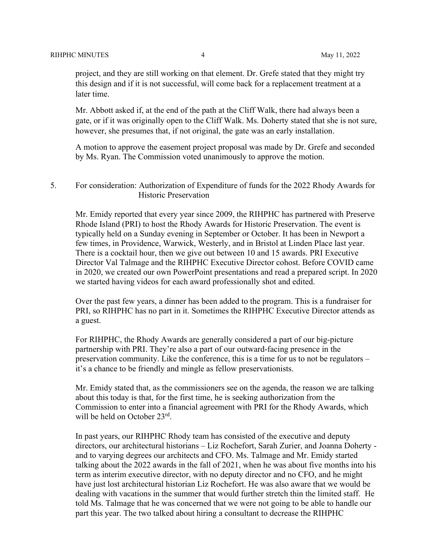project, and they are still working on that element. Dr. Grefe stated that they might try this design and if it is not successful, will come back for a replacement treatment at a later time.

Mr. Abbott asked if, at the end of the path at the Cliff Walk, there had always been a gate, or if it was originally open to the Cliff Walk. Ms. Doherty stated that she is not sure, however, she presumes that, if not original, the gate was an early installation.

A motion to approve the easement project proposal was made by Dr. Grefe and seconded by Ms. Ryan. The Commission voted unanimously to approve the motion.

5. For consideration: Authorization of Expenditure of funds for the 2022 Rhody Awards for Historic Preservation

Mr. Emidy reported that every year since 2009, the RIHPHC has partnered with Preserve Rhode Island (PRI) to host the Rhody Awards for Historic Preservation. The event is typically held on a Sunday evening in September or October. It has been in Newport a few times, in Providence, Warwick, Westerly, and in Bristol at Linden Place last year. There is a cocktail hour, then we give out between 10 and 15 awards. PRI Executive Director Val Talmage and the RIHPHC Executive Director cohost. Before COVID came in 2020, we created our own PowerPoint presentations and read a prepared script. In 2020 we started having videos for each award professionally shot and edited.

Over the past few years, a dinner has been added to the program. This is a fundraiser for PRI, so RIHPHC has no part in it. Sometimes the RIHPHC Executive Director attends as a guest.

For RIHPHC, the Rhody Awards are generally considered a part of our big-picture partnership with PRI. They're also a part of our outward-facing presence in the preservation community. Like the conference, this is a time for us to not be regulators – it's a chance to be friendly and mingle as fellow preservationists.

Mr. Emidy stated that, as the commissioners see on the agenda, the reason we are talking about this today is that, for the first time, he is seeking authorization from the Commission to enter into a financial agreement with PRI for the Rhody Awards, which will be held on October 23<sup>rd</sup>.

In past years, our RIHPHC Rhody team has consisted of the executive and deputy directors, our architectural historians – Liz Rochefort, Sarah Zurier, and Joanna Doherty and to varying degrees our architects and CFO. Ms. Talmage and Mr. Emidy started talking about the 2022 awards in the fall of 2021, when he was about five months into his term as interim executive director, with no deputy director and no CFO, and he might have just lost architectural historian Liz Rochefort. He was also aware that we would be dealing with vacations in the summer that would further stretch thin the limited staff. He told Ms. Talmage that he was concerned that we were not going to be able to handle our part this year. The two talked about hiring a consultant to decrease the RIHPHC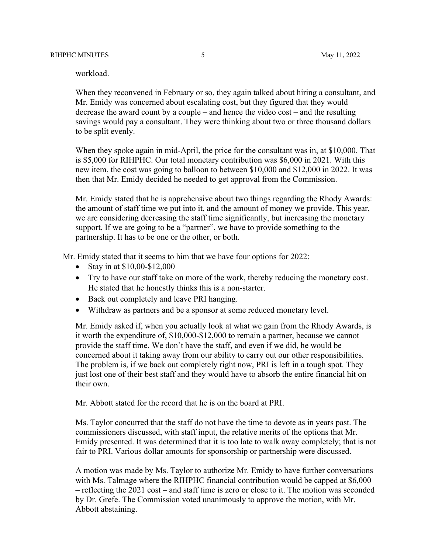workload.

When they reconvened in February or so, they again talked about hiring a consultant, and Mr. Emidy was concerned about escalating cost, but they figured that they would decrease the award count by a couple – and hence the video cost – and the resulting savings would pay a consultant. They were thinking about two or three thousand dollars to be split evenly.

When they spoke again in mid-April, the price for the consultant was in, at \$10,000. That is \$5,000 for RIHPHC. Our total monetary contribution was \$6,000 in 2021. With this new item, the cost was going to balloon to between \$10,000 and \$12,000 in 2022. It was then that Mr. Emidy decided he needed to get approval from the Commission.

Mr. Emidy stated that he is apprehensive about two things regarding the Rhody Awards: the amount of staff time we put into it, and the amount of money we provide. This year, we are considering decreasing the staff time significantly, but increasing the monetary support. If we are going to be a "partner", we have to provide something to the partnership. It has to be one or the other, or both.

Mr. Emidy stated that it seems to him that we have four options for 2022:

- Stay in at  $$10,00-\$12,000$
- Try to have our staff take on more of the work, thereby reducing the monetary cost. He stated that he honestly thinks this is a non-starter.
- Back out completely and leave PRI hanging.
- Withdraw as partners and be a sponsor at some reduced monetary level.

Mr. Emidy asked if, when you actually look at what we gain from the Rhody Awards, is it worth the expenditure of, \$10,000-\$12,000 to remain a partner, because we cannot provide the staff time. We don't have the staff, and even if we did, he would be concerned about it taking away from our ability to carry out our other responsibilities. The problem is, if we back out completely right now, PRI is left in a tough spot. They just lost one of their best staff and they would have to absorb the entire financial hit on their own.

Mr. Abbott stated for the record that he is on the board at PRI.

Ms. Taylor concurred that the staff do not have the time to devote as in years past. The commissioners discussed, with staff input, the relative merits of the options that Mr. Emidy presented. It was determined that it is too late to walk away completely; that is not fair to PRI. Various dollar amounts for sponsorship or partnership were discussed.

A motion was made by Ms. Taylor to authorize Mr. Emidy to have further conversations with Ms. Talmage where the RIHPHC financial contribution would be capped at \$6,000 – reflecting the 2021 cost – and staff time is zero or close to it. The motion was seconded by Dr. Grefe. The Commission voted unanimously to approve the motion, with Mr. Abbott abstaining.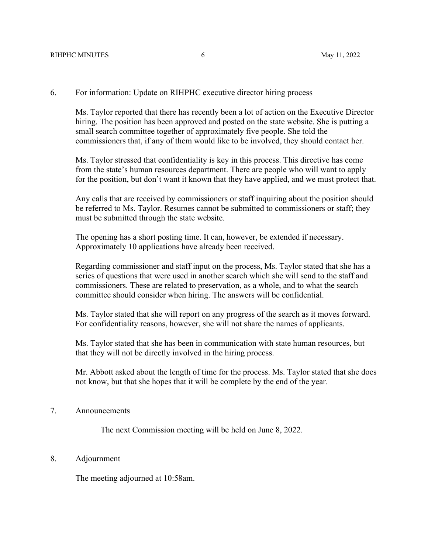#### RIHPHC MINUTES 6 May 11, 2022

## 6. For information: Update on RIHPHC executive director hiring process

Ms. Taylor reported that there has recently been a lot of action on the Executive Director hiring. The position has been approved and posted on the state website. She is putting a small search committee together of approximately five people. She told the commissioners that, if any of them would like to be involved, they should contact her.

Ms. Taylor stressed that confidentiality is key in this process. This directive has come from the state's human resources department. There are people who will want to apply for the position, but don't want it known that they have applied, and we must protect that.

Any calls that are received by commissioners or staff inquiring about the position should be referred to Ms. Taylor. Resumes cannot be submitted to commissioners or staff; they must be submitted through the state website.

The opening has a short posting time. It can, however, be extended if necessary. Approximately 10 applications have already been received.

Regarding commissioner and staff input on the process, Ms. Taylor stated that she has a series of questions that were used in another search which she will send to the staff and commissioners. These are related to preservation, as a whole, and to what the search committee should consider when hiring. The answers will be confidential.

Ms. Taylor stated that she will report on any progress of the search as it moves forward. For confidentiality reasons, however, she will not share the names of applicants.

Ms. Taylor stated that she has been in communication with state human resources, but that they will not be directly involved in the hiring process.

Mr. Abbott asked about the length of time for the process. Ms. Taylor stated that she does not know, but that she hopes that it will be complete by the end of the year.

### 7. Announcements

The next Commission meeting will be held on June 8, 2022.

### 8. Adjournment

The meeting adjourned at 10:58am.